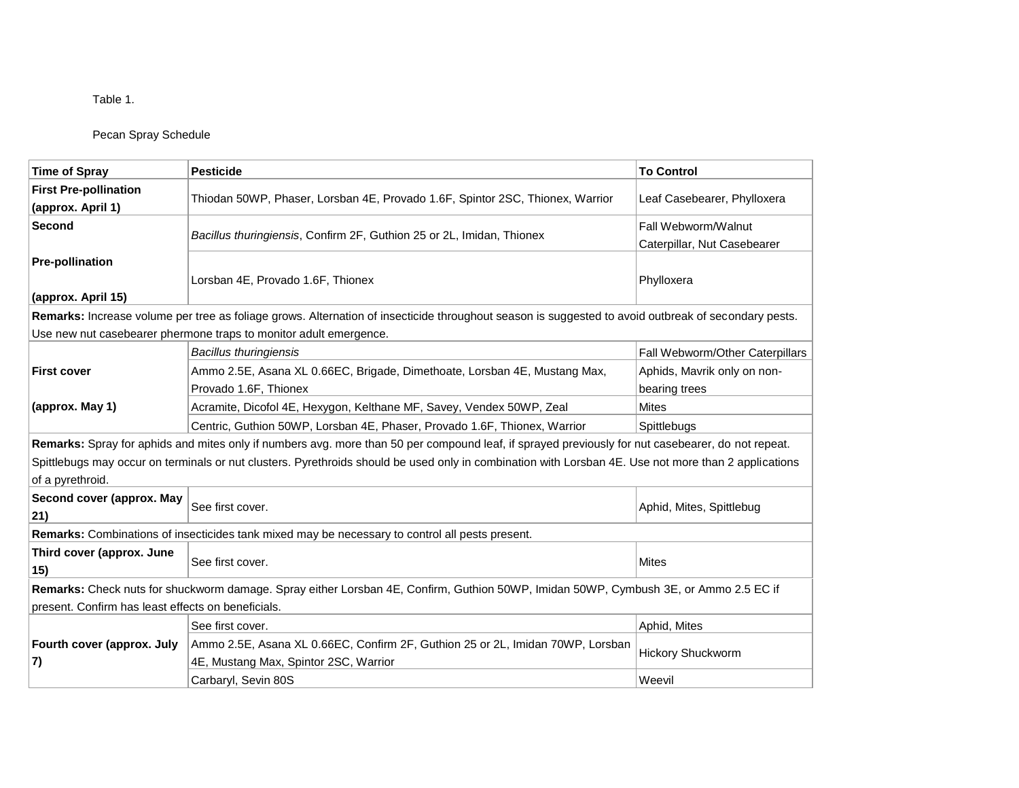Pecan Spray Schedule

| <b>Time of Spray</b>                                                                                                                                                     | <b>Pesticide</b>                                                                                                                                    | <b>To Control</b>                                  |  |
|--------------------------------------------------------------------------------------------------------------------------------------------------------------------------|-----------------------------------------------------------------------------------------------------------------------------------------------------|----------------------------------------------------|--|
|                                                                                                                                                                          |                                                                                                                                                     |                                                    |  |
| <b>First Pre-pollination</b><br>(approx. April 1)                                                                                                                        | Thiodan 50WP, Phaser, Lorsban 4E, Provado 1.6F, Spintor 2SC, Thionex, Warrior                                                                       | Leaf Casebearer, Phylloxera                        |  |
| Second                                                                                                                                                                   | Bacillus thuringiensis, Confirm 2F, Guthion 25 or 2L, Imidan, Thionex                                                                               | Fall Webworm/Walnut<br>Caterpillar, Nut Casebearer |  |
| <b>Pre-pollination</b><br>(approx. April 15)                                                                                                                             | Lorsban 4E, Provado 1.6F, Thionex                                                                                                                   | Phylloxera                                         |  |
|                                                                                                                                                                          | Remarks: Increase volume per tree as foliage grows. Alternation of insecticide throughout season is suggested to avoid outbreak of secondary pests. |                                                    |  |
|                                                                                                                                                                          | Use new nut casebearer phermone traps to monitor adult emergence.                                                                                   |                                                    |  |
| <b>First cover</b>                                                                                                                                                       | <b>Bacillus thuringiensis</b>                                                                                                                       | Fall Webworm/Other Caterpillars                    |  |
|                                                                                                                                                                          | Ammo 2.5E, Asana XL 0.66EC, Brigade, Dimethoate, Lorsban 4E, Mustang Max,<br>Provado 1.6F, Thionex                                                  | Aphids, Mavrik only on non-<br>bearing trees       |  |
| (approx. May 1)                                                                                                                                                          | Acramite, Dicofol 4E, Hexygon, Kelthane MF, Savey, Vendex 50WP, Zeal                                                                                | <b>Mites</b>                                       |  |
|                                                                                                                                                                          | Centric, Guthion 50WP, Lorsban 4E, Phaser, Provado 1.6F, Thionex, Warrior                                                                           | Spittlebugs                                        |  |
| Remarks: Spray for aphids and mites only if numbers avg. more than 50 per compound leaf, if sprayed previously for nut casebearer, do not repeat.                        |                                                                                                                                                     |                                                    |  |
| Spittlebugs may occur on terminals or nut clusters. Pyrethroids should be used only in combination with Lorsban 4E. Use not more than 2 applications<br>of a pyrethroid. |                                                                                                                                                     |                                                    |  |
| Second cover (approx. May<br>21)                                                                                                                                         | See first cover.                                                                                                                                    | Aphid, Mites, Spittlebug                           |  |
| Remarks: Combinations of insecticides tank mixed may be necessary to control all pests present.                                                                          |                                                                                                                                                     |                                                    |  |
| Third cover (approx. June<br>15)                                                                                                                                         | See first cover.                                                                                                                                    | <b>Mites</b>                                       |  |
|                                                                                                                                                                          | Remarks: Check nuts for shuckworm damage. Spray either Lorsban 4E, Confirm, Guthion 50WP, Imidan 50WP, Cymbush 3E, or Ammo 2.5 EC if                |                                                    |  |
| present. Confirm has least effects on beneficials.                                                                                                                       |                                                                                                                                                     |                                                    |  |
| Fourth cover (approx. July<br>7)                                                                                                                                         | See first cover.                                                                                                                                    | Aphid, Mites                                       |  |
|                                                                                                                                                                          | Ammo 2.5E, Asana XL 0.66EC, Confirm 2F, Guthion 25 or 2L, Imidan 70WP, Lorsban<br>4E, Mustang Max, Spintor 2SC, Warrior                             | <b>Hickory Shuckworm</b>                           |  |
|                                                                                                                                                                          | Carbaryl, Sevin 80S                                                                                                                                 | Weevil                                             |  |